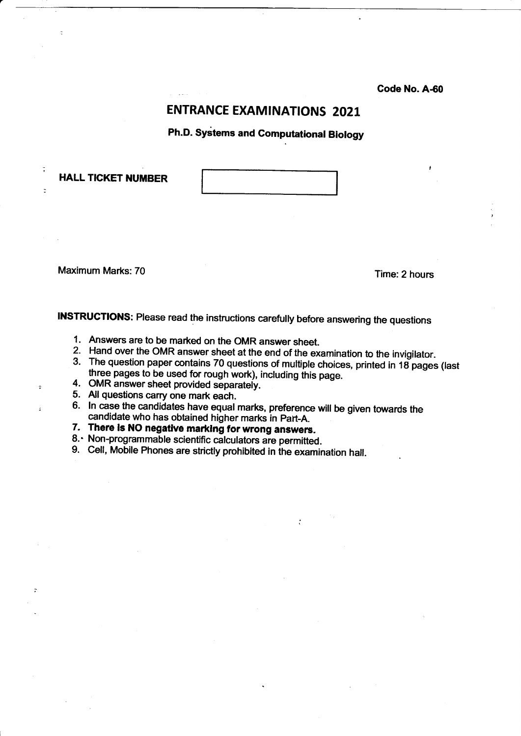Code No. A-60

## **ENTRANCE EXAMINATIONS 2021**

Ph.D. Systems and Computational Biology

**HALL TICKET NUMBER** 

Maximum Marks: 70 and 10 and 10 and 10 and 10 and 10 and 10 and 10 and 10 and 10 and 10 and 10 and 10 and 10 and 10 and 10 and 10 and 10 and 10 and 10 and 10 and 10 and 10 and 10 and 10 and 10 and 10 and 10 and 10 and 10 a

 $\equiv$ 

INSTRUCTIONS: Please read the instructions carefully before answering the questions

- 1. Answers are to be marked on the OMR answer sheet.
- Hand over the OMR answer sheet at the end of the examination to the invigilator. 2.
- 3. The question paper contains 70 questions of multiple choices, printed in 18 pages (last three pages to be used for rough work), including this page.
- OMR answer sheet provided separateiy. 4.
- All questions carry one mark each. 5.
- 6. In case the candidates have equal marks, preference will be given towards the candidate who has obtained higher marks in part-A.
- 7. There is NO negative marking for wrong answers,
- 8. Non-programmable scientific calculators are permitted
- 9. Cell, Mobile Phones are strictly prohibited in the examination hall.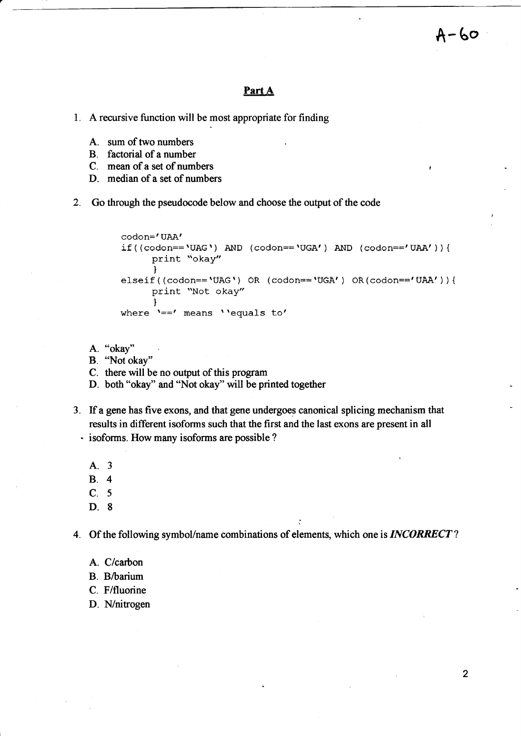#### Part A

- 1. A recursive function will be most appropriate for finding
	- A. sum of two numbers
	- B. factorial of a number
	- C. mean of a set of numbers
	- D. median of a set of numbers
- 2. Go through the pseudocode below and choose the output of the code

codon='UAA'  $if ((codon=='UAG') AND (codon=='UGA') AND (codon=='UAA'))$ print "okay" l elseif((codon==<mark>'UAG')</mark> OR (codon=='UGA') OR(codon=='UAA')){ print "Not okay"  $\mathbf{\hat{1}}$ where  $'=='$  means  $'$  equals to'

- A. "okay"
- B. "Not okay'"

C. there will be no output of this program

- D. both "okay" and "Not okay" will be printed together
- 3. If a gene has five exons, and that gene undergoes eanonical splicing mechanism that results in different isoforms such that the first and the last exons are present in all - isoforms. How many isoforms are possible ?
	- A.3
	- 8.4
	- C. 5
	- D. 8

4. Of the following symbol/name combinations of elements, which one is INCORRECT?

:

- A. C/carbon
- B. B/barium
- C. F/fluorine
- D. N/nitrogen

A-60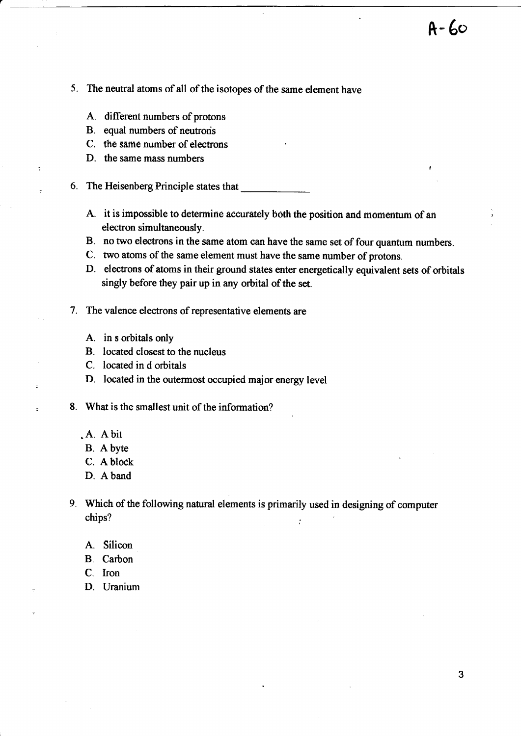- 5. The neutral atoms of all of the isotopes of the same element have
	- A. different numbers of protons
	- B. equal numbers of neutrons
	- C. the same number of electrons
	- D. the same mass numbers

÷

- 6. The Heisenberg Principle states that
	- A. it is impossible to determine accurately both the position and momentum of an electron simultaneously.
	- B. no two electrons in the same atom can have the same set of four quantum numbers.
	- c. two atoms of the same element must have the same number of protons.
	- D. electrons of atoms in their ground states enter energetically equivalent sets of orbitals singly before they pair up in any orbital of the set.
- 7. The valence electrons of representative elements are
	- A. in s orbitals only
	- B. located closest to the nucleus
	- C. located in d orbitals
	- D. located in the outermost occupied major energy level
- 8. What is the smallest unit of the information?
	- .A. Abir
	- B. A byte
	- C. A block
	- D. Aband
- g. Which of the following natural elements is primarily used in designing of computer chips?  $\qquad \qquad \vdots$ 
	- A. Silicon
	- B. Carbon
	- C. Iron
	- D. Uranium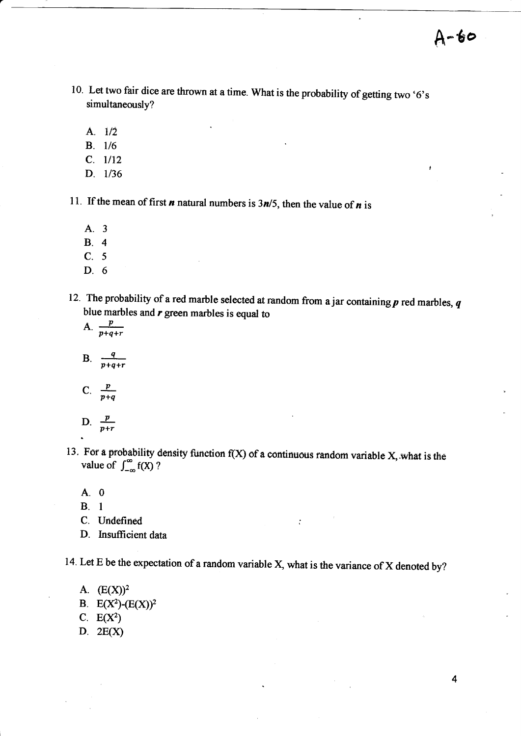$A - 60$ 

- 10. Let two fair dice are thrown at a time. What is the probability of getting two  $6's$ simultaneously?
	- A.  $1/2$
	- **B**. 1/6
	- $C. 1/12$
	- D. 1/36

11. If the mean of first *n* natural numbers is  $3n/5$ , then the value of *n* is

- A.3
- B.4
- C. 5
- D. 6
- 12. The probability of a red marble selected at random from a jar containing  $p$  red marbles,  $q$ blue marbles and  $r$  green marbles is equal to
	- A.  $\frac{p}{p+q+r}$
	- B.  $\frac{q}{p+q+r}$
	- C.  $\frac{p}{p+q}$
	- $D.$  $\frac{D}{p+r}$
- 13. For a probability density function  $f(X)$  of a continuous random variable X, what is the value of  $\int_{-\infty}^{\infty} f(X)$ ?
	- A.0
	- B. l
	- C. Uridefined
	- D. Insufficient data

14. Let E be the expectation of a random variable X, what is the variance of X denoted by?

 $\ddot{\cdot}$ 

A.  $(E(X))^2$ 

- B.  $E(X^2)$ - $(E(X))^2$
- C.  $E(X^2)$
- D. 2E(x)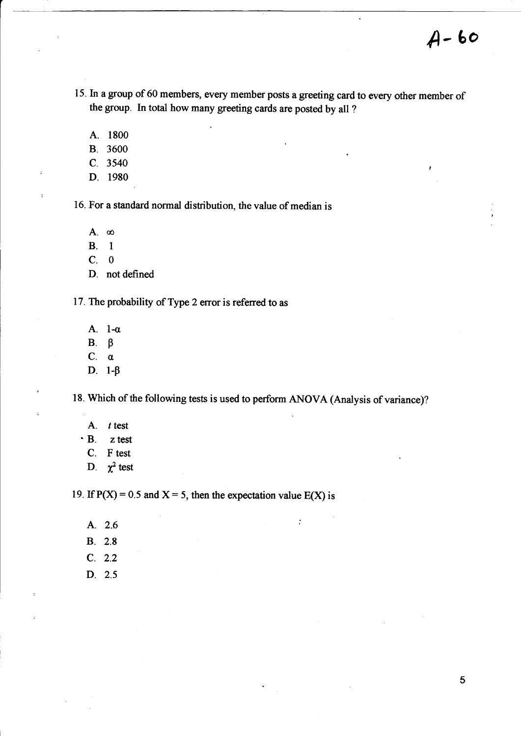- 15. In a group of 60 members, every member posts a greeting card to every other member of the group. In total how many greeting cards are posted by all ?
	- A. <sup>1800</sup>
	- B. <sup>3600</sup>
	- c. <sup>3540</sup>
	- D. <sup>1980</sup>

16. For a standard normal distribution, the value of median is

A.  $\infty$ 

B. <sup>I</sup>

 $C. 0$ 

D. not defined

17. The probability of Type 2 error is referred to as

- A. l-o
- $B. \beta$
- $C. \alpha$
- D.  $1-\beta$

18. Which of the following tests is used to perform ANOVA (Analysis of variance)?

 $\ddot{\cdot}$ 

- A. t test
- 'B. ztest
	- C. F test
	- D.  $\chi^2$  test

19. If  $P(X) = 0.5$  and  $X = 5$ , then the expectation value  $E(X)$  is

- A. 2.6
- B. 2.8
- c. 2.2
- D. 2.5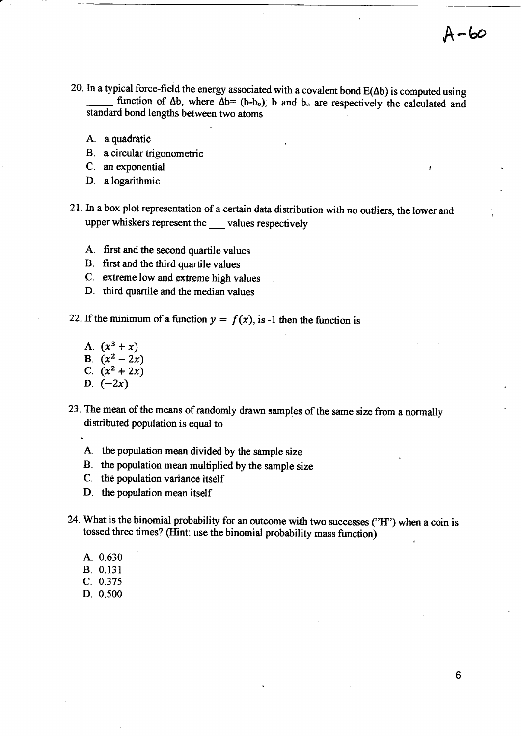- 20. In a typical force-field the energy associated with a covalent bond  $E(\Delta b)$  is computed using function of  $\Delta b$ , where  $\Delta b = (b-b_0)$ ; b and  $b_0$  are respectively the calculated and standard bond lengths between two atoms
	- A. a quadratic
	- B. a circular trigonometric
	- C. an exponential
	- D. a logarithmic
- 2l.In a box plot representation of a certain data distribution with no outliers, the lower and upper whiskers represent the values respectively
	- A. first and the second quartile values
	- B. first and the third quartile values
	- C. extreme low and extreme high values
	- D. third quartile and the median values

22. If the minimum of a function  $y = f(x)$ , is -1 then the function is

- A.  $(x^3 + x)$ B.  $(x^2 - 2x)$ C.  $(x^2 + 2x)$
- D.  $(-2x)$
- 23. The mean of the means of randomly drawn samples of the same size from a normally distributed population is equal to
	- A. the population mean divided by the sample size
	- B. the population mean multiplied by the sample size
	- C. the population variance itself
	- D. the population mean itself
- 24. What is the binomial probability for an outcome with two successes ("H") when a coin is tossed three times? (Hint: use the binomial probability mass function)
	- A. 0.630
	- B. 0.131
	- c. 0.375
	- D. 0,s00

 $A-b$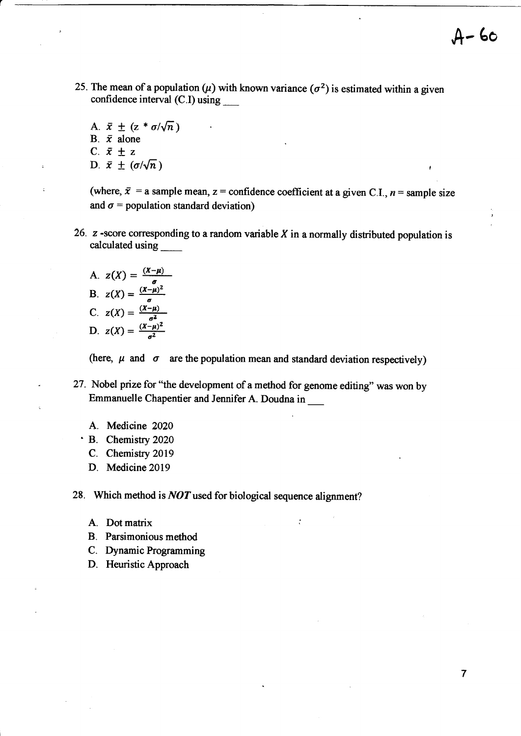25. The mean of a population ( $\mu$ ) with known variance ( $\sigma^2$ ) is estimated within a given confidence interval (C.I) using \_

,A- 6o

 $\overline{7}$ 

A.  $\bar{x} \pm (z * \sigma/\sqrt{n})$ B.  $\bar{x}$  alone C.  $\bar{x} \pm z$ D.  $\bar{x} \pm (\sigma/\sqrt{n})$ 

(where,  $\bar{x}$  = a sample mean, z = confidence coefficient at a given C.I., n = sample size and  $\sigma$  = population standard deviation)

- 26.  $z$  -score corresponding to a random variable  $X$  in a normally distributed population is calculated using \_
	- A.  $z(X) = \frac{(X \sigma)^2}{\sigma^2}$ B.  $z(X) = \frac{(X-\mu)^2}{\sigma}$ C.  $z(X) = \frac{(X-1)}{a}$ D.  $z(X) = \frac{(X-\mu)^2}{\sigma^2}$

(here,  $\mu$  and  $\sigma$  are the population mean and standard deviation respectively)

 $\ddot{\cdot}$ 

- 27. Nobel prize for "the development of a method for genome editing" was won by Emmanuelle Chapentier and Jennifer A. Doudna in
	- A. Medicine <sup>2020</sup>
	- ' B. Chemistry <sup>2020</sup>
		- C. Chemistry <sup>2019</sup>
		- D. Medicine <sup>2019</sup>

28. Which method is  $NOT$  used for biological sequence alignment?

- A. Dot matrix
- B. Parsimonious method
- C. Dynamic Programming
- D. Heuristic Approach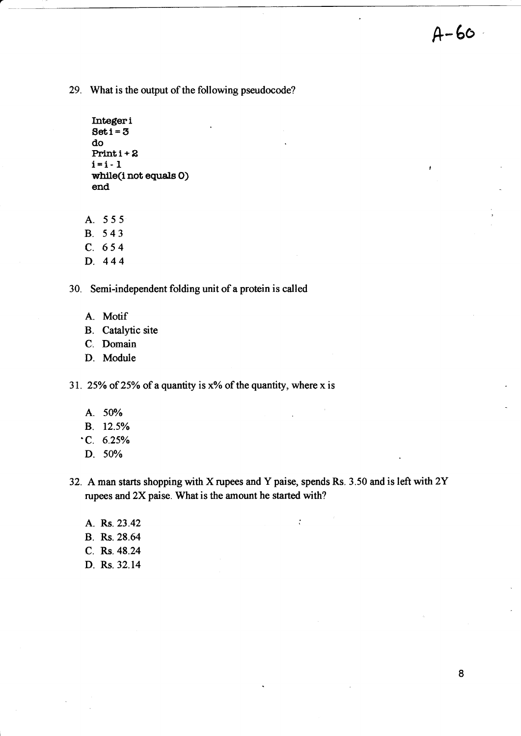$A - 60$ 

29. What is the output of the following pseudocode?

```
Integeri
Set i = 3do
Printi + 2i = i - 1while(inot equals O)
end
```
A. 555

B. 543 c. 654

- D. 444
- 

30. Semi-independent folding unit of a protein is called

- A.. Motif
- B. Catalytic site
- C. Domain
- D. Module

31. 25% of 25% of a quantity is  $x$ % of the quantity, where x is

- A. 50%
- B. l2.5Yo
- $\cdot$ C. 6.25%
- D. 50%

32. Aman starts shopping with X rupees and Y paise, spends Rs. 3.50 and is left with 2Y rupees and 2X paise. What is the amount he started with?

 $\ddot{\cdot}$ 

A. Rs.23.42 B. Rs.28.64 C. Rs.48.24 D. Rs.32.14

8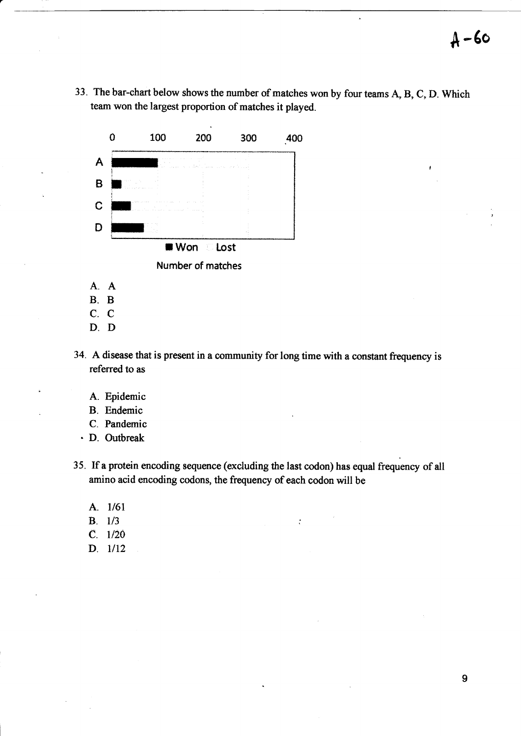33. The bar-chart below shows the number of matches won by four teams A, B, C, D. Which team won the largest proportion of matches it played.



- A.A
- B.B
- C.C
- D.D
- 34. Adisease that is present in a community for long time with a constant frequency is referred to as
	- A. Epidemic
	- B. Endemic
	- C. Pandemic
	- . D. Outbreak
- 35. If a protein encoding sequence (excluding the last codon) has equal frequency of all amino acid encoding codons, the frequency of each codon will be

 $\ddot{\cdot}$ 

- A.  $1/61$
- **B**. 1/3
- $C. 1/20$
- $D. 1/12$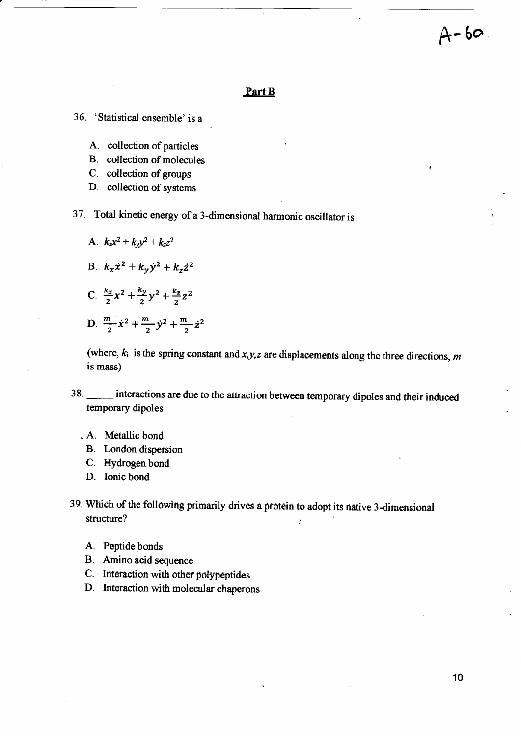#### Part B

36. 'Statistical ensemble' is <sup>a</sup>

- A. collection of particles
- B. collection of molecules
- C. collection of groups
- D. collection of systems
- 37. Total kinetic energy of a 3-dimensional harmonic oscillator is
	- A.  $k_x x^2 + k_y y^2 + k_z z^2$ B.  $k_x \dot{x}^2 + k_y \dot{y}^2 + k_z \dot{z}^2$ C.  $\frac{k_x}{2}x^2 + \frac{k_y}{2}y^2 + \frac{k_z}{2}z^2$ D.  $\frac{m}{2} \dot{x}^2 + \frac{m}{2} \dot{y}^2 + \frac{m}{2} \dot{z}^2$

(where,  $k_i$  is the spring constant and  $x_i y_i z$  are displacements along the three directions, m is mass)

- 38. **Interactions are due to the attraction between temporary dipoles and their induced** temporary dipoles
	- . A. Metallic bond
		- B. London dispersion
		- C. Hydrogen bond
	- D. Ionic bond

39. Which of the following primarily drives a protein to adopt its native 3-dimensional structure?

- A. Peptide bonds
- B. Amino acid sequence
- C. Interaetion with other polypeptides
- D. Interaction with molecular chaperons

 $A - 60$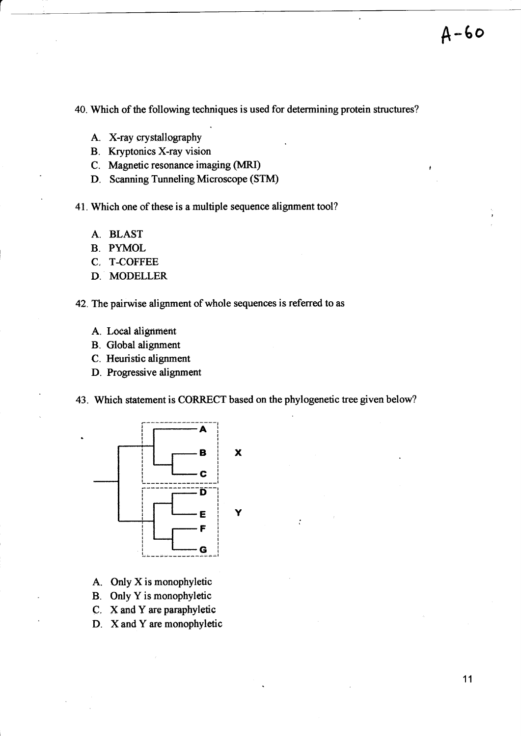<sup>A</sup>-6o

40. Which of the following techniques is used for determining protein structures?

- A. X-ray crystallography
- B. Kryptonics X-ray vision
- C. Magnetic resonance imaging (MRI)
- D. Scanning Tunneling Microscope (STM)

41. Which one of these is a multiple sequence alignment tool?

- A. BLAST
- B. PYMOL
- C. T-COFFEE
- D. MODELLER
- 42. The pairwise alignment of whole sequences is referred to as
	- A. Local alignment
	- B. Global alignment
	- C. Heuristic alignment
	- D. Progressive alignment
- 43. Which statement is CORRECT based on the phylogenetic tree given below?



- A. Only X is monophyletic
- B. Only Y is monophyletic
- C. X and Y are paraphyletic
- D. X and Y are monophyletic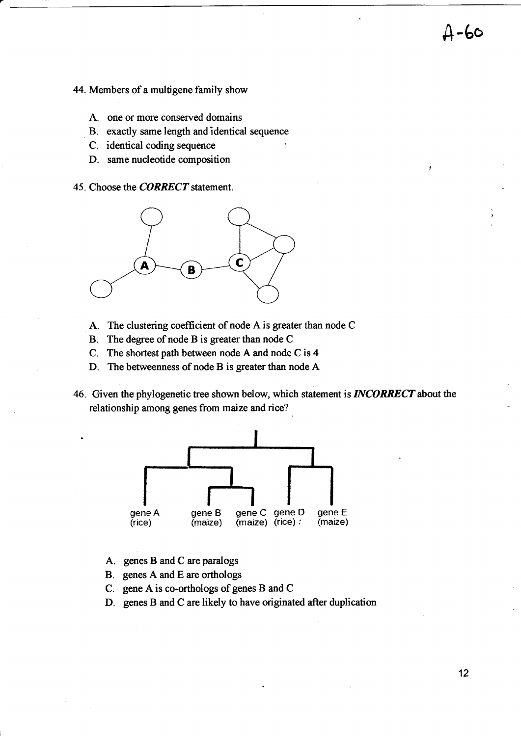- 44. Members of a multigene family show
	- A. one or more conserved domains
	- B. exactly same length and identical sequence
	- C. identical coding sequence
	- D. same nucleotide composition
- 45. Choose the **CORRECT** statement.



- A. The clustering coefficient of node A is greater than node C
- B. The degree of node B is greater than node <sup>C</sup>
- C. The shortest path between node A and node C is 4
- D. The betweenness of node B is greater than node A
- 46. Given the phylogenetic tree shown below, which statement is **INCORRECT** about the relationship among genes from maize and rice?



- A. genes B and C are paralogs
- B. genes A and E are orthologs
- C. gene A. is co-orthologs of genes B and C
- D. genes B and C are likely to have originated after duplication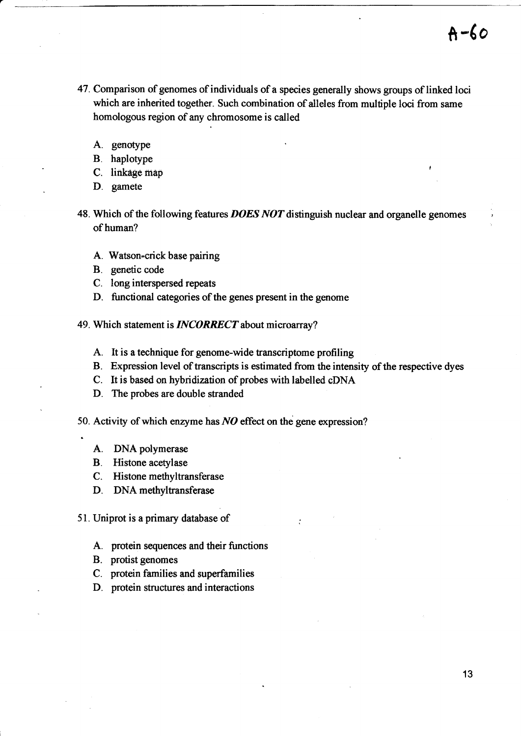- 47. Comparison of genomes of individuals of a species generally shows groups of linked loci which are inherited together. Such combination of alleles from multiple loci from same homologous region of any chromosome is called
	- A. genotype
	- B. haplotype
	- C. linkage map
	- D. gamete
- 48. Which of the following features DOES NOT distinguish nuclear and organelle genomes of human?
	- A. Watson-crick base pairing
	- B. genetic code
	- C. long interspersed repeats
	- D. functional categories of the genes present in the genome
- 49. Which statement is **INCORRECT** about microarray?
	- A. It is a technique for genome-wide transcriptome profiling
	- B. Expression level of transcripts is estimated from the intensity of the respective dyes
	- C. It is based on hybridization of probes with labelled cDNA
	- D. The probes are double stranded
- 50. Activity of which enzyme has  $NO$  effect on the gene expression?
	- A. DNA polymerase
	- B. Histone acetylase
	- C. Histone methyltransferase
	- D. DNAmethyltransferase
- 51. Uniprot is a primary database of
	- A. protein sequences and their functions
	- B. protist genomes
	- C. protein families and superfamilies
	- D. protein structures and interactions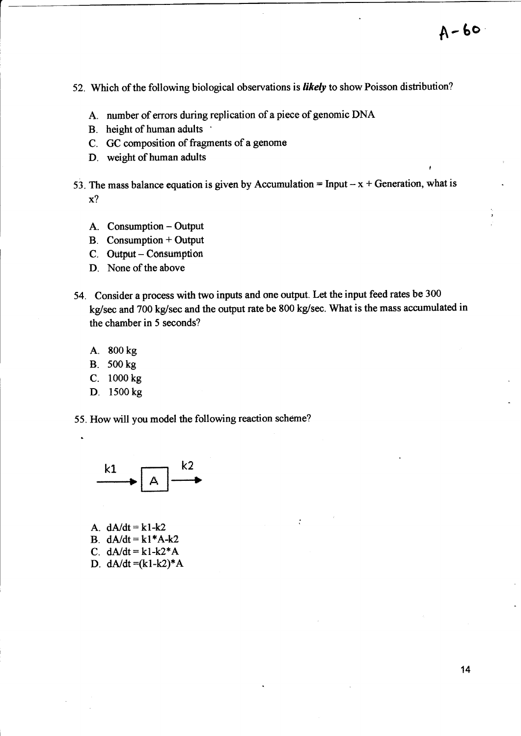$A - 60$ 

t

- 52. Which of the following biological observations is likely to show Poisson distribution?
	- A. number of errors during replication of a piece of genomic DNA
	- B. height of human adults
	- C. GC composition of fragments of a genome
	- D. weight of human adults
- 53. The mass balance equation is given by Accumulation = Input  $-x +$  Generation, what is x?
	- A. Consumption Output
	- B. Consumption + Output
	- C. Output Consumption
	- D. None of the above
- 54. Consider a process with two inputs and one output. Let the input feed rates be 300 kg/sec and 700 kg/sec and the output rate be 800 kg/sec. What is the mass accumulated in the chamber in 5 seconds?
	- A. E00 kg
	- B. 500 kg
	- C. l00o kg
	- D. 1500 kg
- 55. How will you model the following reaction scheme?



A.  $dA/dt = k1-k2$ B.  $dA/dt = k1*A-k2$ C.  $dA/dt = k1 - k2*A$ D.  $dA/dt = (k1 - k2)*A$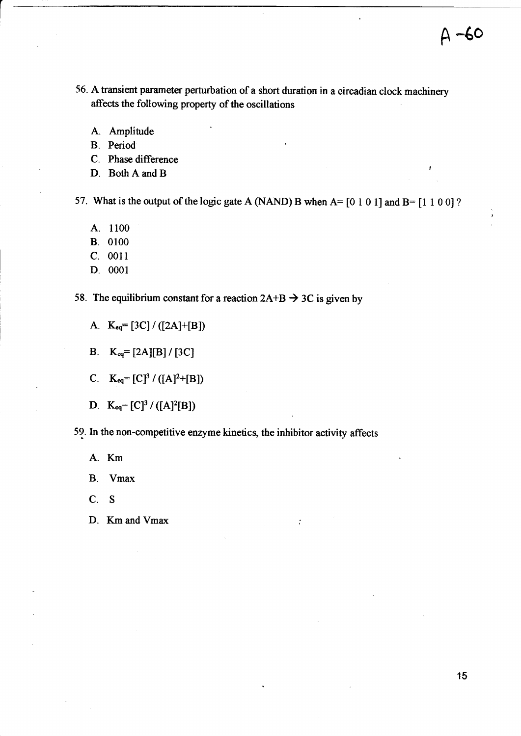- 56. A transient parameter perturbation of a short duration in a circadian clock machinery affects the following property of the oscillations
	- A. Amplitude
	- B. Period
	- C. Phase difference
	- D. Both A and B

57. What is the output of the logic gate A (NAND) B when  $A = [0 1 0 1]$  and  $B = [1 1 0 0]$ ?

- A. <sup>1100</sup>
- B. <sup>0100</sup>
- C. 0011
- D. <sup>0001</sup>

58. The equilibrium constant for a reaction  $2A+B \rightarrow 3C$  is given by

A.  $K_{eq} = [3C] / ([2A]+[B])$ 

B.  $K_{eq} = [2A][B]/[3C]$ 

C.  $K_{eq}=[C]^3/([A]^2+[B])$ 

D.  $K_{eq} = [C]^3 / ([A]^2[B])$ 

5?. h the non-competitive enzyme kinetics, the inhibitor activity affects

 $\ddot{\cdot}$ 

A. Km

B. Vmax

C. S

D. Km and Vmax

 $A - 60$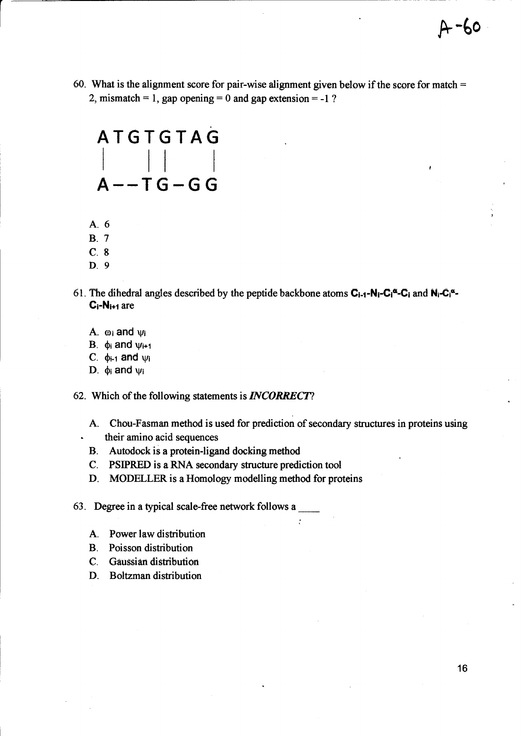60. What is the alignment score for pair-wise alignment given below if the score for match  $=$ 2, mismatch = 1, gap opening = 0 and gap extension = -1 ?

ATGTGTAG<br>| ||  $A--TG-GG$ 

- A.6
- 8.7
- c.8
- D. 9
- 61. The dihedral angles described by the peptide backbone atoms  $C_{i-1}-N_i-C_i^a-C_i$  and  $N_i-C_i^a$ - $C_i-N_{i+1}$  are
	- A.  $\omega_i$  and  $\psi_i$
	- B.  $\phi_i$  and  $\psi_{i+1}$
	- C.  $\phi_{i-1}$  and  $\psi_i$
	- D.  $\phi_i$  and  $\psi_i$
- 62. Which of the following statements is INCORRECT?
	- A. Chou-Fasman method is used for prediction of secondary structures in proteins using their amino acid sequences

ċ

- B. Autodock is a protein-ligand docking method
- C. PSIPRED is a RNA secondary structure prediction tool
- D. MODELLER is a Homology modelling method for proteins
- 63. Degree in a typical scale-free network follows <sup>a</sup>
	- A. Power law distribution
	- B. Poisson distribution
	- C. Gaussian distribution
	- D. Boltzman distribution

F-60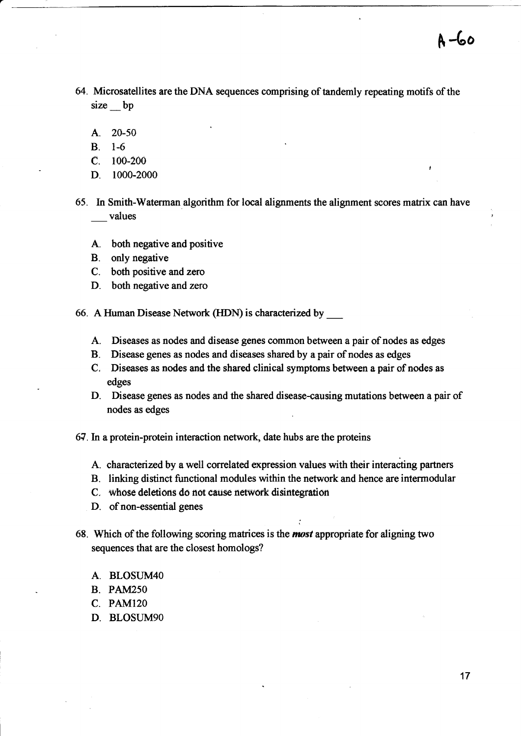<sup>A</sup>-6o

- 64. Microsatellites are the DNA sequences comprising of tandemly repeating motifs of the size bp
	- A. 20-50
	- B. 1-6
	- $C. 100-200$
	- D. 1000-2000

65. In Smith-Waterman algorithm for local alignments the alignment scores matrix can have \_\_\_ values

- A.. both negative and positive
- B. only negative
- C. both positive and zero
- D. both negative and zero

66. A Human Disease Network (HDN) is characterized by

- A. Diseases as nodes and disease genes common between a pair of nodes as edges
- B. Disease genes as nodes and diseases shared by a pair of nodes as edges
- C. Diseases as nodes and the shared clinical symptoms between a pair of nodes as edges
- D. Disease genes as nodes and the shared disease-causing mutations between a pair of nodes as edges
- 67. In a protein-protein interaction network, date hubs are the proteins
	- A. characterized by a well correlated expression values with their interacting partners
	- B. linking distinct functional modules within the network and hence are intermodular

:

- C. whose deletions do not cause network disintegration
- D. of non-essential genes
- 68. Which of the following scoring matrices is the most appropriate for aligning two sequences that are the closest homologs?
	- A. BLOSUM4O
	- B. PAM25O
	- c. PAM120
	- D. BLOSUM90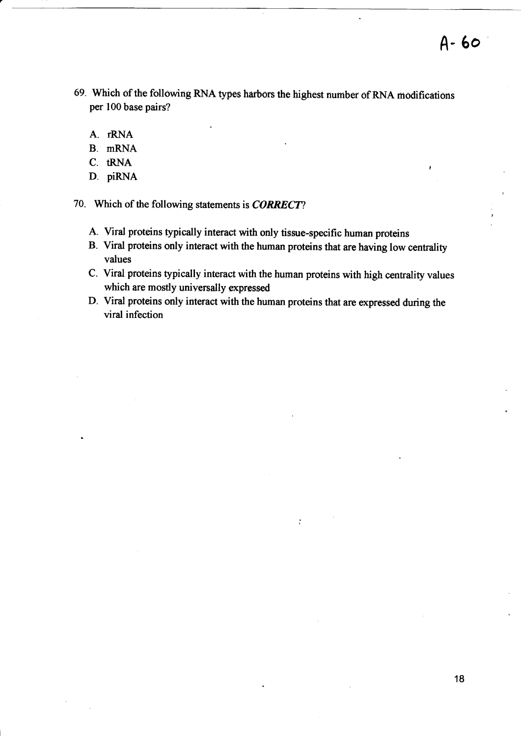- 69. Which of the following RNA types harbors the highest number of RNA modifications per 100 base pairs?
	- A. rRNA
	- B. mRNA
	- C. tRNA
	- D. piRNA

70. Which of the following statements is **CORRECT**?

- A. Viral proteins typically interact with only tissue-specific human proteins
- B. Viral proteins only interact with the human proteins that are having low centrality values
- C. Viral proteins typically interact with the human proteins with high centrality values which are mostly universally expressed
- D. Viral proteins only interact with the human proteins that are expressed during the viral infection